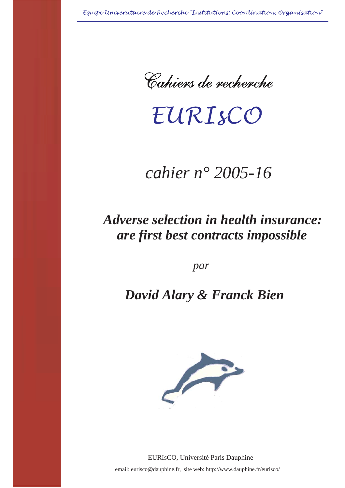Cahiers de recherche

# EURISCO

# *cahier n° 2005-16*

# *Adverse selection in health insurance: are first best contracts impossible*

*par*

## *David Alary & Franck Bien*



EURIsCO, Université Paris Dauphine email: eurisco@dauphine.fr, site web: http://www.dauphine.fr/eurisco/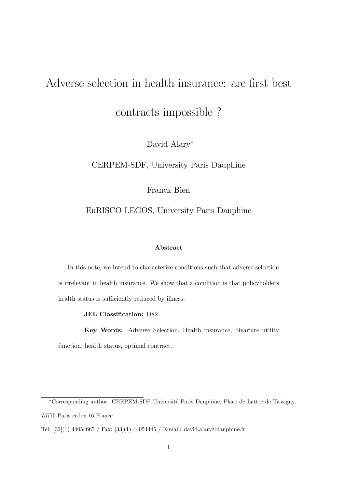## Adverse selection in health insurance: are first best

contracts impossible ?

David Alary<sup>∗</sup>

CERPEM-SDF, University Paris Dauphine

Franck Bien

EuRISCO LEGOS, University Paris Dauphine

#### Abstract

In this note, we intend to characterize conditions such that adverse selection is irrelevant in health insurance. We show that a condition is that policyholders health status is sufficiently reduced by illness.

JEL Classification: D82

Key Words: Adverse Selection, Health insurance, bivariate utility function, health status, optimal contract.

<sup>∗</sup>Corresponding author: CERPEM-SDF Universit´e Paris Dauphine, Place de Lattre de Tassigny, 75775 Paris cedex 16 France

Tel: [33](1) 44054665 / Fax: [33](1) 44054445 / E-mail: david.alary@dauphine.fr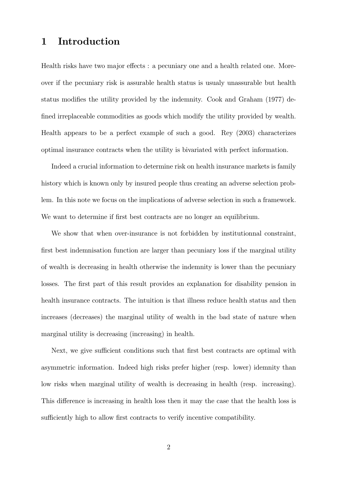#### 1 Introduction

Health risks have two major effects : a pecuniary one and a health related one. Moreover if the pecuniary risk is assurable health status is usualy unassurable but health status modifies the utility provided by the indemnity. Cook and Graham (1977) defined irreplaceable commodities as goods which modify the utility provided by wealth. Health appears to be a perfect example of such a good. Rey (2003) characterizes optimal insurance contracts when the utility is bivariated with perfect information.

Indeed a crucial information to determine risk on health insurance markets is family history which is known only by insured people thus creating an adverse selection problem. In this note we focus on the implications of adverse selection in such a framework. We want to determine if first best contracts are no longer an equilibrium.

We show that when over-insurance is not forbidden by institutionnal constraint, first best indemnisation function are larger than pecuniary loss if the marginal utility of wealth is decreasing in health otherwise the indemnity is lower than the pecuniary losses. The first part of this result provides an explanation for disability pension in health insurance contracts. The intuition is that illness reduce health status and then increases (decreases) the marginal utility of wealth in the bad state of nature when marginal utility is decreasing (increasing) in health.

Next, we give sufficient conditions such that first best contracts are optimal with asymmetric information. Indeed high risks prefer higher (resp. lower) idemnity than low risks when marginal utility of wealth is decreasing in health (resp. increasing). This difference is increasing in health loss then it may the case that the health loss is sufficiently high to allow first contracts to verify incentive compatibility.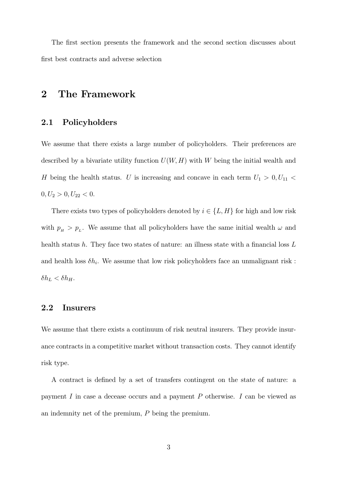The first section presents the framework and the second section discusses about first best contracts and adverse selection

## 2 The Framework

#### 2.1 Policyholders

We assume that there exists a large number of policyholders. Their preferences are described by a bivariate utility function  $U(W, H)$  with W being the initial wealth and H being the health status. U is increasing and concave in each term  $U_1 > 0, U_{11} <$  $0, U_2 > 0, U_{22} < 0.$ 

There exists two types of policyholders denoted by  $i \in \{L, H\}$  for high and low risk with  $p_H > p_L$ . We assume that all policyholders have the same initial wealth  $\omega$  and health status  $h$ . They face two states of nature: an illness state with a financial loss  $L$ and health loss  $\delta h_i$ . We assume that low risk policyholders face an unmalignant risk:  $\delta h_L < \delta h_H$ .

#### 2.2 Insurers

We assume that there exists a continuum of risk neutral insurers. They provide insurance contracts in a competitive market without transaction costs. They cannot identify risk type.

A contract is defined by a set of transfers contingent on the state of nature: a payment I in case a decease occurs and a payment P otherwise. I can be viewed as an indemnity net of the premium, P being the premium.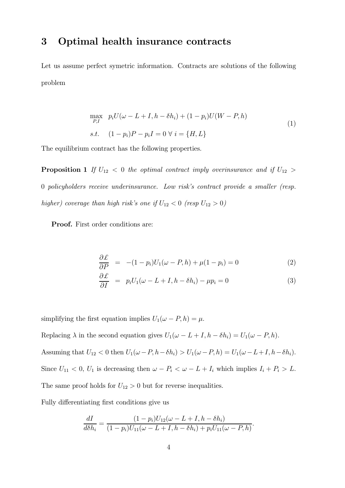#### 3 Optimal health insurance contracts

Let us assume perfect symetric information. Contracts are solutions of the following problem

$$
\max_{P,I} p_i U(\omega - L + I, h - \delta h_i) + (1 - p_i)U(W - P, h)
$$
  
s.t. 
$$
(1 - p_i)P - p_i I = 0 \ \forall \ i = \{H, L\}
$$
 (1)

The equilibrium contract has the following properties.

**Proposition 1** If  $U_{12} < 0$  the optimal contract imply overinsurance and if  $U_{12} >$ 0 policyholders receive underinsurance. Low risk's contract provide a smaller (resp. higher) coverage than high risk's one if  $U_{12} < 0$  (resp  $U_{12} > 0$ )

Proof. First order conditions are:

$$
\frac{\partial \mathcal{L}}{\partial P} = -(1 - p_i)U_1(\omega - P, h) + \mu(1 - p_i) = 0 \tag{2}
$$

$$
\frac{\partial \pounds}{\partial I} = p_i U_1(\omega - L + I, h - \delta h_i) - \mu p_i = 0 \tag{3}
$$

simplifying the first equation implies  $U_1(\omega - P, h) = \mu$ . Replacing  $\lambda$  in the second equation gives  $U_1(\omega - L + I, h - \delta h_i) = U_1(\omega - P, h)$ . Assuming that  $U_{12} < 0$  then  $U_1(\omega - P, h - \delta h_i) > U_1(\omega - P, h) = U_1(\omega - L + I, h - \delta h_i)$ . Since  $U_{11} < 0$ ,  $U_1$  is decreasing then  $\omega - P_i < \omega - L + I_i$  which implies  $I_i + P_i > L$ . The same proof holds for  $U_{12} > 0$  but for reverse inequalities.

Fully differentiating first conditions give us

$$
\frac{dI}{d\delta h_i} = \frac{(1-p_i)U_{12}(\omega - L + I, h - \delta h_i)}{(1-p_i)U_{11}(\omega - L + I, h - \delta h_i) + p_i U_{11}(\omega - P, h)}.
$$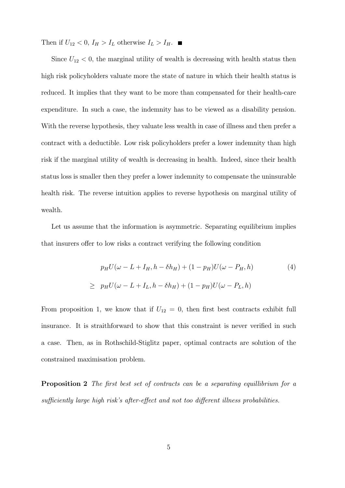Then if  $U_{12} < 0$ ,  $I_H > I_L$  otherwise  $I_L > I_H$ .

Since  $U_{12} < 0$ , the marginal utility of wealth is decreasing with health status then high risk policyholders valuate more the state of nature in which their health status is reduced. It implies that they want to be more than compensated for their health-care expenditure. In such a case, the indemnity has to be viewed as a disability pension. With the reverse hypothesis, they valuate less wealth in case of illness and then prefer a contract with a deductible. Low risk policyholders prefer a lower indemnity than high risk if the marginal utility of wealth is decreasing in health. Indeed, since their health status loss is smaller then they prefer a lower indemnity to compensate the uninsurable health risk. The reverse intuition applies to reverse hypothesis on marginal utility of wealth.

Let us assume that the information is asymmetric. Separating equilibrium implies that insurers offer to low risks a contract verifying the following condition

$$
p_H U(\omega - L + I_H, h - \delta h_H) + (1 - p_H)U(\omega - P_H, h)
$$
  
\n
$$
\geq p_H U(\omega - L + I_L, h - \delta h_H) + (1 - p_H)U(\omega - P_L, h)
$$
\n(4)

From proposition 1, we know that if  $U_{12} = 0$ , then first best contracts exhibit full insurance. It is straithforward to show that this constraint is never verified in such a case. Then, as in Rothschild-Stiglitz paper, optimal contracts are solution of the constrained maximisation problem.

Proposition 2 The first best set of contracts can be a separating equillibrium for a sufficiently large high risk's after-effect and not too different illness probabilities.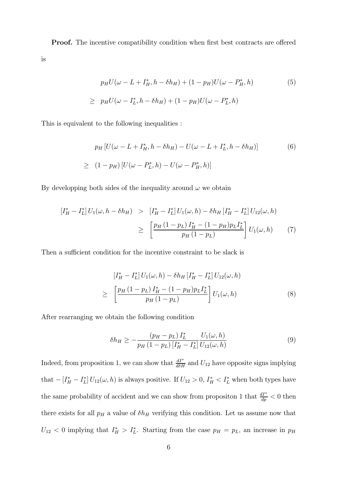Proof. The incentive compatibility condition when first best contracts are offered is

$$
p_H U(\omega - L + I_H^*, h - \delta h_H) + (1 - p_H)U(\omega - P_H^*, h)
$$
  
\n
$$
\geq p_H U(\omega - I_L^*, h - \delta h_H) + (1 - p_H)U(\omega - P_L^*, h)
$$
\n(5)

This is equivalent to the following inequalities :

$$
p_H \left[ U(\omega - L + I_H^*, h - \delta h_H) - U(\omega - L + I_L^*, h - \delta h_H) \right]
$$
  
\n
$$
\geq (1 - p_H) \left[ U(\omega - P_L^*, h) - U(\omega - P_H^*, h) \right]
$$
\n(6)

By developping both sides of the inequality around  $\omega$  we obtain

$$
\begin{aligned}\n\left[I_H^* - I_L^*\right] U_1(\omega, h - \delta h_H) &> \left[I_H^* - I_L^*\right] U_1(\omega, h) - \delta h_H \left[I_H^* - I_L^*\right] U_{12}(\omega, h) \\
&\geq \left[\frac{p_H \left(1 - p_L\right) I_H^* - (1 - p_H) p_L I_L^*}{p_H \left(1 - p_L\right)}\right] U_1(\omega, h)\n\end{aligned} \tag{7}
$$

Then a sufficient condition for the incentive constraint to be slack is

$$
\begin{aligned} \left[I_H^* - I_L^*\right] U_1(\omega, h) - \delta h_H \left[I_H^* - I_L^*\right] U_{12}(\omega, h) \\ \geq \left[\frac{p_H \left(1 - p_L\right) I_H^* - (1 - p_H) p_L I_L^*}{p_H \left(1 - p_L\right)}\right] U_1(\omega, h) \end{aligned} \tag{8}
$$

After rearranging we obtain the following condition

$$
\delta h_H \ge -\frac{(p_H - p_L) I_L^*}{p_H (1 - p_L) [I_H^* - I_L^*]} \frac{U_1(\omega, h)}{U_{12}(\omega, h)}
$$
(9)

Indeed, from proposition 1, we can show that  $\frac{dI^*}{d\delta H}$  and  $U_{12}$  have opposite signs implying that  $-[I_H^*-I_L^*]U_{12}(\omega, h)$  is always positive. If  $U_{12} > 0$ ,  $I_H^* < I_L^*$  when both types have the same probability of accident and we can show from propositon 1 that  $\frac{dI^*}{dp} < 0$  then there exists for all  $p_H$  a value of  $\delta h_H$  verifying this condition. Let us assume now that  $U_{12} < 0$  implying that  $I_H^* > I_L^*$ . Starting from the case  $p_H = p_L$ , an increase in  $p_H$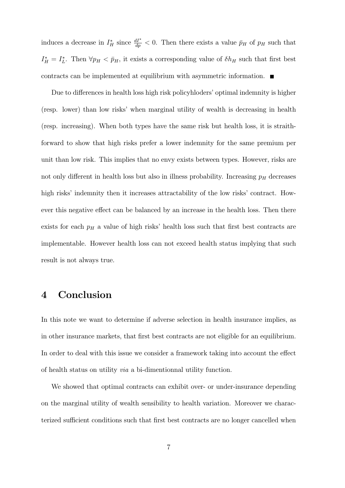induces a decrease in  $I_H^*$  since  $\frac{dI^*}{dp} < 0$ . Then there exists a value  $\bar{p}_H$  of  $p_H$  such that  $I_H^* = I_L^*$ . Then  $\forall p_H \le \bar{p}_H$ , it exists a corresponding value of  $\delta h_H$  such that first best contracts can be implemented at equilibrium with asymmetric information.  $\blacksquare$ 

Due to differences in health loss high risk policyhloders' optimal indemnity is higher (resp. lower) than low risks' when marginal utility of wealth is decreasing in health (resp. increasing). When both types have the same risk but health loss, it is straithforward to show that high risks prefer a lower indemnity for the same premium per unit than low risk. This implies that no envy exists between types. However, risks are not only different in health loss but also in illness probability. Increasing  $p<sub>H</sub>$  decreases high risks' indemnity then it increases attractability of the low risks' contract. However this negative effect can be balanced by an increase in the health loss. Then there exists for each  $p<sub>H</sub>$  a value of high risks' health loss such that first best contracts are implementable. However health loss can not exceed health status implying that such result is not always true.

## 4 Conclusion

In this note we want to determine if adverse selection in health insurance implies, as in other insurance markets, that first best contracts are not eligible for an equilibrium. In order to deal with this issue we consider a framework taking into account the effect of health status on utility via a bi-dimentionnal utility function.

We showed that optimal contracts can exhibit over- or under-insurance depending on the marginal utility of wealth sensibility to health variation. Moreover we characterized sufficient conditions such that first best contracts are no longer cancelled when